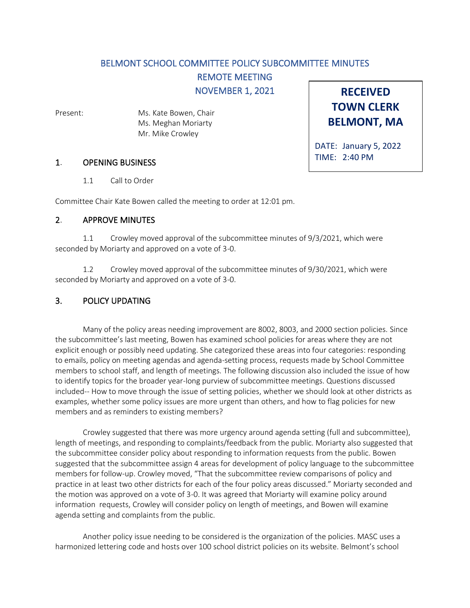# BELMONT SCHOOL COMMITTEE POLICY SUBCOMMITTEE MINUTES

REMOTE MEETING

NOVEMBER 1, 2021

Present: Ms. Kate Bowen, Chair Ms. Meghan Moriarty Mr. Mike Crowley

1. OPENING BUSINESS

1.1 Call to Order

Committee Chair Kate Bowen called the meeting to order at 12:01 pm.

### 2. APPROVE MINUTES

1.1 Crowley moved approval of the subcommittee minutes of 9/3/2021, which were seconded by Moriarty and approved on a vote of 3-0.

1.2 Crowley moved approval of the subcommittee minutes of 9/30/2021, which were seconded by Moriarty and approved on a vote of 3-0.

## 3. POLICY UPDATING

Many of the policy areas needing improvement are 8002, 8003, and 2000 section policies. Since the subcommittee's last meeting, Bowen has examined school policies for areas where they are not explicit enough or possibly need updating. She categorized these areas into four categories: responding to emails, policy on meeting agendas and agenda-setting process, requests made by School Committee members to school staff, and length of meetings. The following discussion also included the issue of how to identify topics for the broader year-long purview of subcommittee meetings. Questions discussed included-- How to move through the issue of setting policies, whether we should look at other districts as examples, whether some policy issues are more urgent than others, and how to flag policies for new members and as reminders to existing members?

Crowley suggested that there was more urgency around agenda setting (full and subcommittee), length of meetings, and responding to complaints/feedback from the public. Moriarty also suggested that the subcommittee consider policy about responding to information requests from the public. Bowen suggested that the subcommittee assign 4 areas for development of policy language to the subcommittee members for follow-up. Crowley moved, "That the subcommittee review comparisons of policy and practice in at least two other districts for each of the four policy areas discussed." Moriarty seconded and the motion was approved on a vote of 3-0. It was agreed that Moriarty will examine policy around information requests, Crowley will consider policy on length of meetings, and Bowen will examine agenda setting and complaints from the public.

Another policy issue needing to be considered is the organization of the policies. MASC uses a harmonized lettering code and hosts over 100 school district policies on its website. Belmont's school

**RECEIVED TOWN CLERK BELMONT, MA**

DATE: January 5, 2022 TIME: 2:40 PM